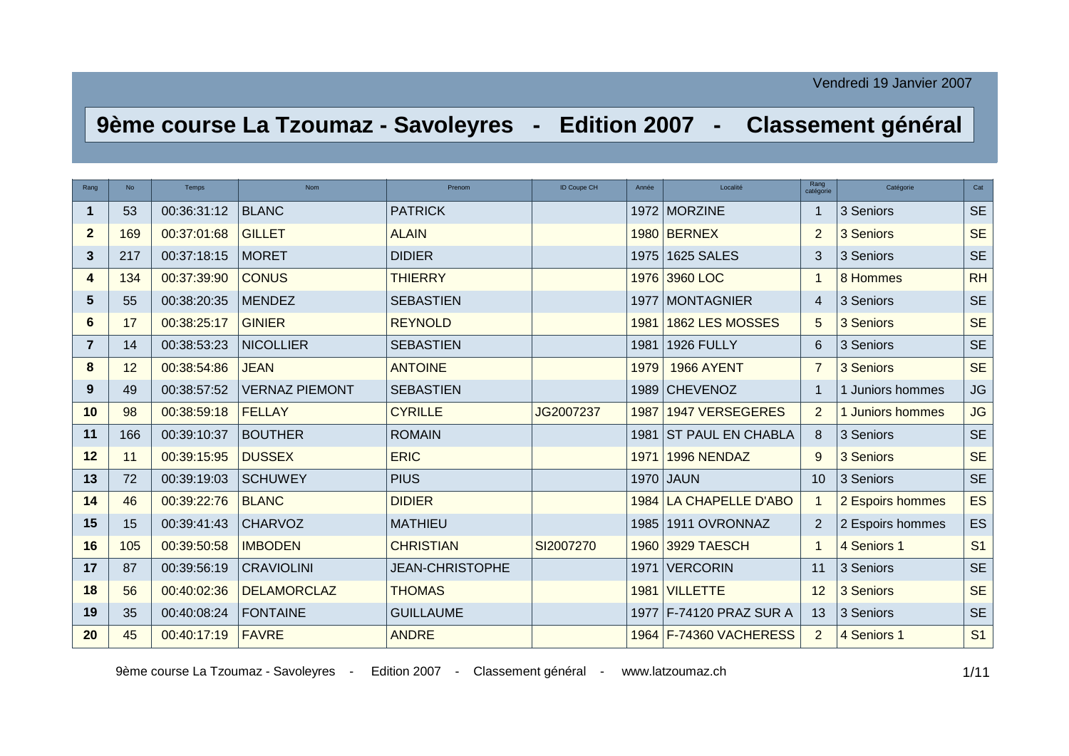## **9ème course La Tzoumaz - Savoleyres - Edition 2007 - Classement général**

| Rang           | <b>No</b> | Temps       | <b>Nom</b>            | Prenom                 | <b>ID Coupe CH</b> | Année | Localité                | Rang<br>catégorie | Catégorie        | Cat            |
|----------------|-----------|-------------|-----------------------|------------------------|--------------------|-------|-------------------------|-------------------|------------------|----------------|
| 1              | 53        | 00:36:31:12 | <b>BLANC</b>          | <b>PATRICK</b>         |                    |       | 1972 MORZINE            |                   | 3 Seniors        | <b>SE</b>      |
| $\overline{2}$ | 169       | 00:37:01:68 | <b>GILLET</b>         | <b>ALAIN</b>           |                    | 1980  | <b>BERNEX</b>           | 2                 | 3 Seniors        | <b>SE</b>      |
| 3              | 217       | 00:37:18:15 | <b>MORET</b>          | <b>DIDIER</b>          |                    | 1975  | <b>1625 SALES</b>       | 3                 | 3 Seniors        | <b>SE</b>      |
| 4              | 134       | 00:37:39:90 | <b>CONUS</b>          | <b>THIERRY</b>         |                    | 1976  | 3960 LOC                |                   | 8 Hommes         | <b>RH</b>      |
| 5              | 55        | 00:38:20:35 | <b>MENDEZ</b>         | <b>SEBASTIEN</b>       |                    | 1977  | <b>MONTAGNIER</b>       | 4                 | 3 Seniors        | <b>SE</b>      |
| 6              | 17        | 00:38:25:17 | <b>GINIER</b>         | <b>REYNOLD</b>         |                    | 1981  | 1862 LES MOSSES         | 5                 | 3 Seniors        | <b>SE</b>      |
| 7              | 14        | 00:38:53:23 | <b>NICOLLIER</b>      | <b>SEBASTIEN</b>       |                    | 1981  | <b>1926 FULLY</b>       | 6                 | 3 Seniors        | <b>SE</b>      |
| 8              | 12        | 00:38:54:86 | <b>JEAN</b>           | <b>ANTOINE</b>         |                    | 1979  | <b>1966 AYENT</b>       | $\overline{7}$    | 3 Seniors        | <b>SE</b>      |
| 9              | 49        | 00:38:57:52 | <b>VERNAZ PIEMONT</b> | <b>SEBASTIEN</b>       |                    |       | 1989 CHEVENOZ           |                   | 1 Juniors hommes | <b>JG</b>      |
| 10             | 98        | 00:38:59:18 | <b>FELLAY</b>         | <b>CYRILLE</b>         | JG2007237          | 1987  | <b>1947 VERSEGERES</b>  | 2                 | 1 Juniors hommes | <b>JG</b>      |
| 11             | 166       | 00:39:10:37 | <b>BOUTHER</b>        | <b>ROMAIN</b>          |                    |       | 1981 ST PAUL EN CHABLA  | 8                 | 3 Seniors        | <b>SE</b>      |
| 12             | 11        | 00:39:15:95 | <b>DUSSEX</b>         | <b>ERIC</b>            |                    | 1971  | 1996 NENDAZ             | 9                 | 3 Seniors        | <b>SE</b>      |
| 13             | 72        | 00:39:19:03 | <b>SCHUWEY</b>        | <b>PIUS</b>            |                    | 1970  | <b>JAUN</b>             | 10                | 3 Seniors        | <b>SE</b>      |
| 14             | 46        | 00:39:22:76 | <b>BLANC</b>          | <b>DIDIER</b>          |                    |       | 1984 LA CHAPELLE D'ABO  |                   | 2 Espoirs hommes | ES             |
| 15             | 15        | 00:39:41:43 | <b>CHARVOZ</b>        | <b>MATHIEU</b>         |                    | 1985  | 1911 OVRONNAZ           | 2                 | 2 Espoirs hommes | ES             |
| 16             | 105       | 00:39:50:58 | <b>IMBODEN</b>        | <b>CHRISTIAN</b>       | SI2007270          | 1960  | 3929 TAESCH             |                   | 4 Seniors 1      | S <sub>1</sub> |
| 17             | 87        | 00:39:56:19 | <b>CRAVIOLINI</b>     | <b>JEAN-CHRISTOPHE</b> |                    | 1971  | <b>VERCORIN</b>         | 11                | 3 Seniors        | <b>SE</b>      |
| 18             | 56        | 00:40:02:36 | <b>DELAMORCLAZ</b>    | <b>THOMAS</b>          |                    | 1981  | <b>VILLETTE</b>         | 12                | 3 Seniors        | <b>SE</b>      |
| 19             | 35        | 00:40:08:24 | <b>FONTAINE</b>       | <b>GUILLAUME</b>       |                    |       | 1977 F-74120 PRAZ SUR A | 13                | 3 Seniors        | <b>SE</b>      |
| 20             | 45        | 00:40:17:19 | <b>FAVRE</b>          | <b>ANDRE</b>           |                    |       | 1964 F-74360 VACHERESS  | 2                 | 4 Seniors 1      | S <sub>1</sub> |

9ème course La Tzoumaz - Savoleyres - Edition 2007 - Classement général - www.latzoumaz.ch 1/11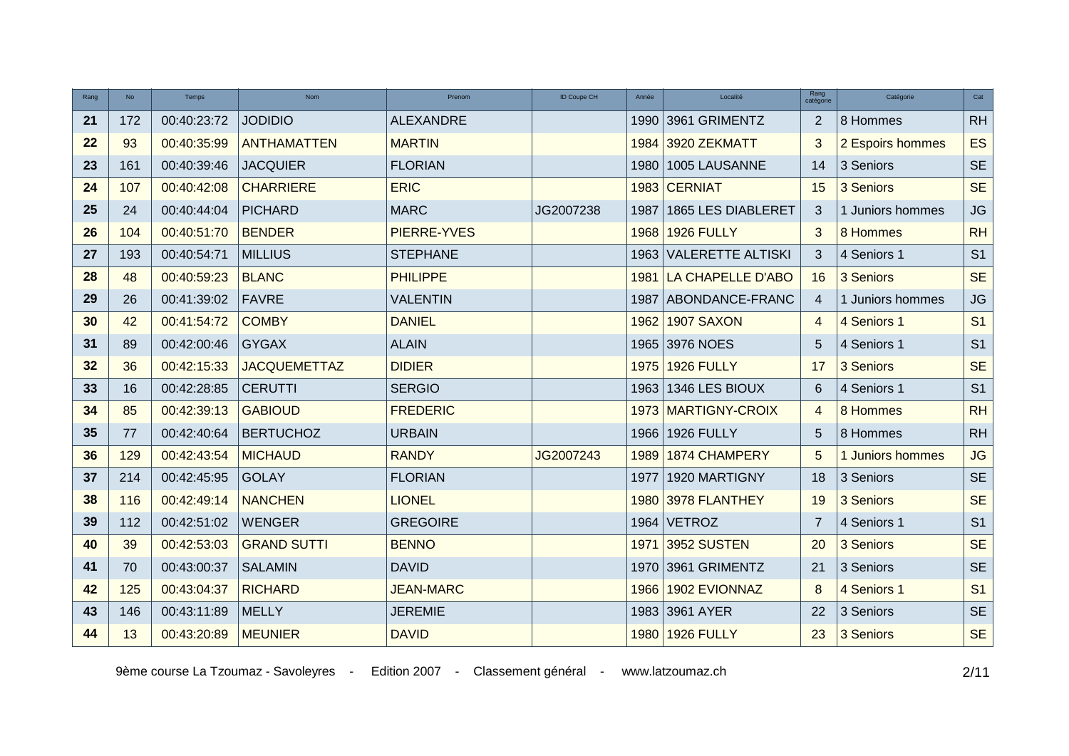| Rang | <b>No</b> | Temps       | <b>Nom</b>          | Prenom           | <b>ID Coupe CH</b> | Année | Localité               | Rang<br>catégorie | Catégorie        | Cat                    |
|------|-----------|-------------|---------------------|------------------|--------------------|-------|------------------------|-------------------|------------------|------------------------|
| 21   | 172       | 00:40:23:72 | <b>JODIDIO</b>      | <b>ALEXANDRE</b> |                    |       | 1990 3961 GRIMENTZ     | 2                 | 8 Hommes         | RH                     |
| 22   | 93        | 00:40:35:99 | <b>ANTHAMATTEN</b>  | <b>MARTIN</b>    |                    |       | 1984 3920 ZEKMATT      | 3                 | 2 Espoirs hommes | <b>ES</b>              |
| 23   | 161       | 00:40:39:46 | <b>JACQUIER</b>     | <b>FLORIAN</b>   |                    | 1980  | 1005 LAUSANNE          | 14                | 3 Seniors        | <b>SE</b>              |
| 24   | 107       | 00:40:42:08 | <b>CHARRIERE</b>    | <b>ERIC</b>      |                    |       | 1983 CERNIAT           | 15                | 3 Seniors        | <b>SE</b>              |
| 25   | 24        | 00:40:44:04 | <b>PICHARD</b>      | <b>MARC</b>      | JG2007238          | 1987  | 1865 LES DIABLERET     | 3                 | 1 Juniors hommes | <b>JG</b>              |
| 26   | 104       | 00:40:51:70 | <b>BENDER</b>       | PIERRE-YVES      |                    |       | 1968 1926 FULLY        | 3                 | 8 Hommes         | <b>RH</b>              |
| 27   | 193       | 00:40:54:71 | <b>MILLIUS</b>      | <b>STEPHANE</b>  |                    |       | 1963 VALERETTE ALTISKI | 3                 | 4 Seniors 1      | S <sub>1</sub>         |
| 28   | 48        | 00:40:59:23 | <b>BLANC</b>        | <b>PHILIPPE</b>  |                    | 1981  | LA CHAPELLE D'ABO      | 16                | 3 Seniors        | <b>SE</b>              |
| 29   | 26        | 00:41:39:02 | <b>FAVRE</b>        | <b>VALENTIN</b>  |                    | 1987  | ABONDANCE-FRANC        | $\overline{4}$    | 1 Juniors hommes | $\mathsf{J}\mathsf{G}$ |
| 30   | 42        | 00:41:54:72 | <b>COMBY</b>        | <b>DANIEL</b>    |                    | 1962  | 1907 SAXON             | $\overline{4}$    | 4 Seniors 1      | S <sub>1</sub>         |
| 31   | 89        | 00:42:00:46 | <b>GYGAX</b>        | <b>ALAIN</b>     |                    |       | 1965 3976 NOES         | 5                 | 4 Seniors 1      | S <sub>1</sub>         |
| 32   | 36        | 00:42:15:33 | <b>JACQUEMETTAZ</b> | <b>DIDIER</b>    |                    |       | 1975 1926 FULLY        | 17                | 3 Seniors        | <b>SE</b>              |
| 33   | 16        | 00:42:28:85 | <b>CERUTTI</b>      | <b>SERGIO</b>    |                    |       | 1963 1346 LES BIOUX    | 6                 | 4 Seniors 1      | S <sub>1</sub>         |
| 34   | 85        | 00:42:39:13 | <b>GABIOUD</b>      | <b>FREDERIC</b>  |                    |       | 1973 MARTIGNY-CROIX    | $\overline{4}$    | 8 Hommes         | <b>RH</b>              |
| 35   | 77        | 00:42:40:64 | <b>BERTUCHOZ</b>    | <b>URBAIN</b>    |                    |       | 1966 1926 FULLY        | 5                 | 8 Hommes         | RH                     |
| 36   | 129       | 00:42:43:54 | <b>MICHAUD</b>      | <b>RANDY</b>     | JG2007243          | 1989  | 1874 CHAMPERY          | 5                 | 1 Juniors hommes | <b>JG</b>              |
| 37   | 214       | 00:42:45:95 | <b>GOLAY</b>        | <b>FLORIAN</b>   |                    | 1977  | 1920 MARTIGNY          | 18                | 3 Seniors        | <b>SE</b>              |
| 38   | 116       | 00:42:49:14 | <b>NANCHEN</b>      | <b>LIONEL</b>    |                    |       | 1980 3978 FLANTHEY     | 19                | 3 Seniors        | <b>SE</b>              |
| 39   | 112       | 00:42:51:02 | <b>WENGER</b>       | <b>GREGOIRE</b>  |                    |       | $1964$ VETROZ          | 7                 | 4 Seniors 1      | S <sub>1</sub>         |
| 40   | 39        | 00:42:53:03 | <b>GRAND SUTTI</b>  | <b>BENNO</b>     |                    |       | 1971 3952 SUSTEN       | 20                | 3 Seniors        | <b>SE</b>              |
| 41   | 70        | 00:43:00:37 | <b>SALAMIN</b>      | <b>DAVID</b>     |                    |       | 1970 3961 GRIMENTZ     | 21                | 3 Seniors        | <b>SE</b>              |
| 42   | 125       | 00:43:04:37 | <b>RICHARD</b>      | <b>JEAN-MARC</b> |                    |       | 1966 1902 EVIONNAZ     | 8                 | 4 Seniors 1      | S <sub>1</sub>         |
| 43   | 146       | 00:43:11:89 | <b>MELLY</b>        | <b>JEREMIE</b>   |                    |       | 1983 3961 AYER         | 22                | 3 Seniors        | <b>SE</b>              |
| 44   | 13        | 00:43:20:89 | <b>MEUNIER</b>      | <b>DAVID</b>     |                    |       | 1980 1926 FULLY        | 23                | 3 Seniors        | <b>SE</b>              |

9ème course La Tzoumaz - Savoleyres - Edition 2007 - Classement général - www.latzoumaz.ch <br>2/11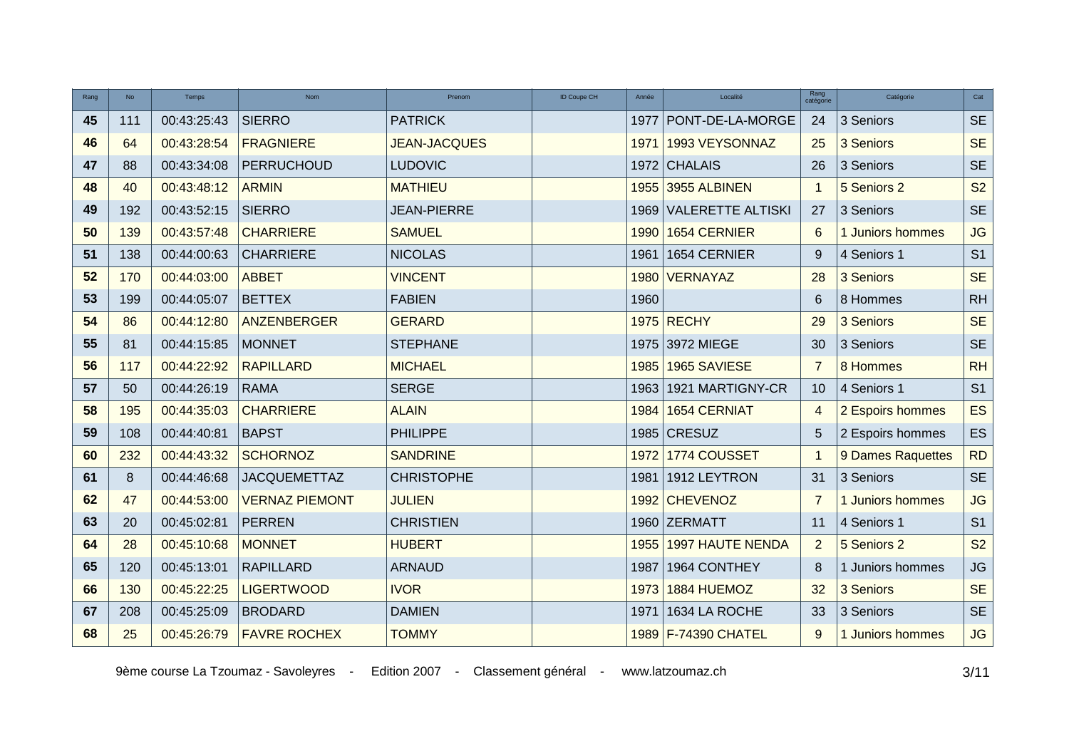| Rang | <b>No</b> | Temps       | <b>Nom</b>            | Prenom              | ID Coupe CH | Année | Localité                 | Rang<br>catégorie | Catégorie         | Cat                  |
|------|-----------|-------------|-----------------------|---------------------|-------------|-------|--------------------------|-------------------|-------------------|----------------------|
| 45   | 111       | 00:43:25:43 | <b>SIERRO</b>         | <b>PATRICK</b>      |             | 1977  | PONT-DE-LA-MORGE         | 24                | 3 Seniors         | $\mathsf{SE}\xspace$ |
| 46   | 64        | 00:43:28:54 | <b>FRAGNIERE</b>      | <b>JEAN-JACQUES</b> |             | 1971  | 1993 VEYSONNAZ           | 25                | 3 Seniors         | <b>SE</b>            |
| 47   | 88        | 00:43:34:08 | <b>PERRUCHOUD</b>     | <b>LUDOVIC</b>      |             | 1972  | <b>CHALAIS</b>           | 26                | 3 Seniors         | <b>SE</b>            |
| 48   | 40        | 00:43:48:12 | <b>ARMIN</b>          | <b>MATHIEU</b>      |             | 1955  | 3955 ALBINEN             | $\overline{1}$    | 5 Seniors 2       | S <sub>2</sub>       |
| 49   | 192       | 00:43:52:15 | <b>SIERRO</b>         | <b>JEAN-PIERRE</b>  |             | 1969  | <b>VALERETTE ALTISKI</b> | 27                | 3 Seniors         | <b>SE</b>            |
| 50   | 139       | 00:43:57:48 | <b>CHARRIERE</b>      | <b>SAMUEL</b>       |             | 1990  | 1654 CERNIER             | 6                 | 1 Juniors hommes  | <b>JG</b>            |
| 51   | 138       | 00:44:00:63 | <b>CHARRIERE</b>      | <b>NICOLAS</b>      |             | 1961  | 1654 CERNIER             | 9                 | 4 Seniors 1       | S <sub>1</sub>       |
| 52   | 170       | 00:44:03:00 | <b>ABBET</b>          | <b>VINCENT</b>      |             | 1980  | <b>VERNAYAZ</b>          | 28                | 3 Seniors         | <b>SE</b>            |
| 53   | 199       | 00:44:05:07 | <b>BETTEX</b>         | <b>FABIEN</b>       |             | 1960  |                          | 6                 | 8 Hommes          | <b>RH</b>            |
| 54   | 86        | 00:44:12:80 | ANZENBERGER           | <b>GERARD</b>       |             |       | 1975 RECHY               | 29                | 3 Seniors         | <b>SE</b>            |
| 55   | 81        | 00:44:15:85 | <b>MONNET</b>         | <b>STEPHANE</b>     |             |       | 1975 3972 MIEGE          | 30                | 3 Seniors         | <b>SE</b>            |
| 56   | 117       | 00:44:22:92 | <b>RAPILLARD</b>      | <b>MICHAEL</b>      |             | 1985  | 1965 SAVIESE             | 7                 | 8 Hommes          | <b>RH</b>            |
| 57   | 50        | 00:44:26:19 | <b>RAMA</b>           | <b>SERGE</b>        |             | 1963  | 1921 MARTIGNY-CR         | 10                | 4 Seniors 1       | S <sub>1</sub>       |
| 58   | 195       | 00:44:35:03 | <b>CHARRIERE</b>      | <b>ALAIN</b>        |             | 1984  | <b>1654 CERNIAT</b>      | $\overline{4}$    | 2 Espoirs hommes  | <b>ES</b>            |
| 59   | 108       | 00:44:40:81 | <b>BAPST</b>          | <b>PHILIPPE</b>     |             | 1985  | <b>CRESUZ</b>            | 5                 | 2 Espoirs hommes  | ES                   |
| 60   | 232       | 00:44:43:32 | <b>SCHORNOZ</b>       | <b>SANDRINE</b>     |             | 1972  | 1774 COUSSET             | $\mathbf 1$       | 9 Dames Raquettes | <b>RD</b>            |
| 61   | 8         | 00:44:46:68 | <b>JACQUEMETTAZ</b>   | <b>CHRISTOPHE</b>   |             | 1981  | 1912 LEYTRON             | 31                | 3 Seniors         | <b>SE</b>            |
| 62   | 47        | 00:44:53:00 | <b>VERNAZ PIEMONT</b> | <b>JULIEN</b>       |             | 1992  | <b>CHEVENOZ</b>          | 7                 | 1 Juniors hommes  | <b>JG</b>            |
| 63   | 20        | 00:45:02:81 | <b>PERREN</b>         | <b>CHRISTIEN</b>    |             | 1960  | <b>ZERMATT</b>           | 11                | 4 Seniors 1       | S <sub>1</sub>       |
| 64   | 28        | 00:45:10:68 | <b>MONNET</b>         | <b>HUBERT</b>       |             | 1955  | <b>1997 HAUTE NENDA</b>  | $\overline{2}$    | 5 Seniors 2       | S <sub>2</sub>       |
| 65   | 120       | 00:45:13:01 | <b>RAPILLARD</b>      | <b>ARNAUD</b>       |             | 1987  | 1964 CONTHEY             | 8                 | 1 Juniors hommes  | JG                   |
| 66   | 130       | 00:45:22:25 | <b>LIGERTWOOD</b>     | <b>IVOR</b>         |             | 1973  | 1884 HUEMOZ              | 32                | 3 Seniors         | <b>SE</b>            |
| 67   | 208       | 00:45:25:09 | <b>BRODARD</b>        | <b>DAMIEN</b>       |             | 1971  | 1634 LA ROCHE            | 33                | 3 Seniors         | <b>SE</b>            |
| 68   | 25        | 00:45:26:79 | <b>FAVRE ROCHEX</b>   | <b>TOMMY</b>        |             |       | 1989 F-74390 CHATEL      | 9                 | 1 Juniors hommes  | <b>JG</b>            |

9ème course La Tzoumaz - Savoleyres - Edition 2007 - Classement général - www.latzoumaz.ch 3/11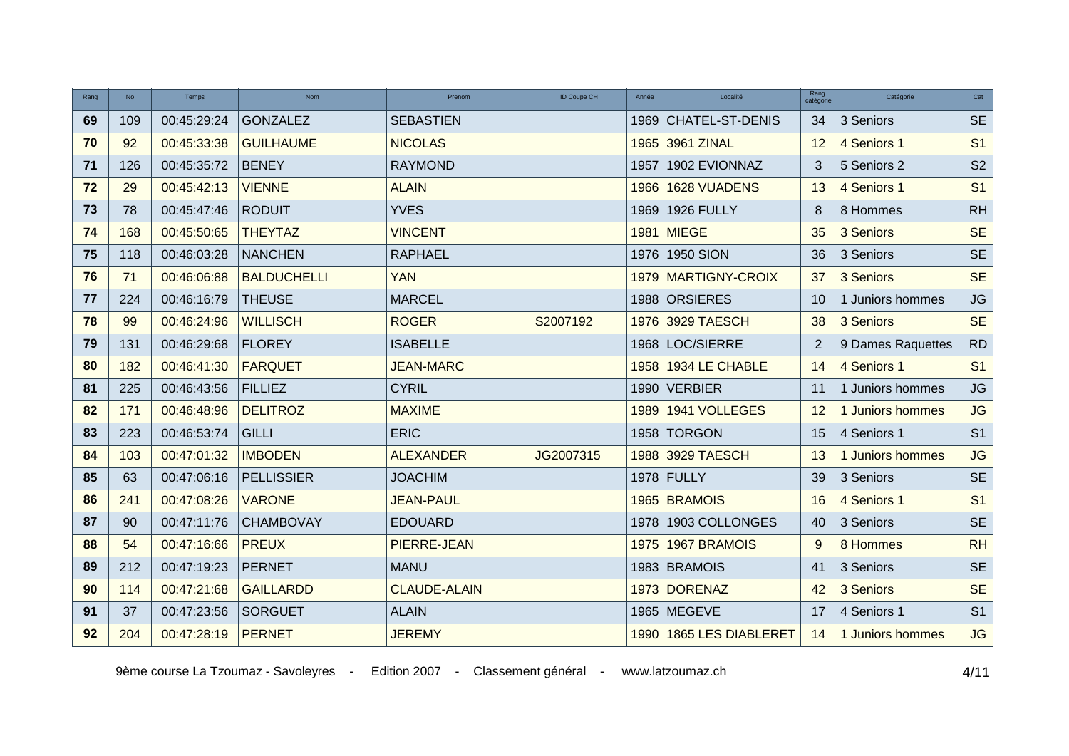| Rang | <b>No</b> | Temps       | <b>Nom</b>         | Prenom              | ID Coupe CH | Année | Localité                  | Rang<br>catégorie | Catégorie         | Cat            |
|------|-----------|-------------|--------------------|---------------------|-------------|-------|---------------------------|-------------------|-------------------|----------------|
| 69   | 109       | 00:45:29:24 | <b>GONZALEZ</b>    | <b>SEBASTIEN</b>    |             | 1969  | CHATEL-ST-DENIS           | 34                | 3 Seniors         | <b>SE</b>      |
| 70   | 92        | 00:45:33:38 | <b>GUILHAUME</b>   | <b>NICOLAS</b>      |             | 1965  | 3961 ZINAL                | 12                | 4 Seniors 1       | S <sub>1</sub> |
| 71   | 126       | 00:45:35:72 | <b>BENEY</b>       | <b>RAYMOND</b>      |             | 1957  | 1902 EVIONNAZ             | 3                 | 5 Seniors 2       | S <sub>2</sub> |
| 72   | 29        | 00:45:42:13 | <b>VIENNE</b>      | <b>ALAIN</b>        |             | 1966  | <b>1628 VUADENS</b>       | 13                | 4 Seniors 1       | S <sub>1</sub> |
| 73   | 78        | 00:45:47:46 | <b>RODUIT</b>      | <b>YVES</b>         |             | 1969  | <b>1926 FULLY</b>         | 8                 | 8 Hommes          | RH             |
| 74   | 168       | 00:45:50:65 | <b>THEYTAZ</b>     | <b>VINCENT</b>      |             |       | 1981 MIEGE                | 35                | 3 Seniors         | <b>SE</b>      |
| 75   | 118       | 00:46:03:28 | <b>NANCHEN</b>     | <b>RAPHAEL</b>      |             | 1976  | <b>1950 SION</b>          | 36                | 3 Seniors         | <b>SE</b>      |
| 76   | 71        | 00:46:06:88 | <b>BALDUCHELLI</b> | <b>YAN</b>          |             | 1979  | <b>MARTIGNY-CROIX</b>     | 37                | 3 Seniors         | <b>SE</b>      |
| 77   | 224       | 00:46:16:79 | <b>THEUSE</b>      | <b>MARCEL</b>       |             | 1988  | <b>ORSIERES</b>           | 10                | 1 Juniors hommes  | JG             |
| 78   | 99        | 00:46:24:96 | <b>WILLISCH</b>    | <b>ROGER</b>        | S2007192    | 1976  | 3929 TAESCH               | 38                | 3 Seniors         | <b>SE</b>      |
| 79   | 131       | 00:46:29:68 | <b>FLOREY</b>      | <b>ISABELLE</b>     |             | 1968  | LOC/SIERRE                | $\overline{2}$    | 9 Dames Raquettes | <b>RD</b>      |
| 80   | 182       | 00:46:41:30 | <b>FARQUET</b>     | <b>JEAN-MARC</b>    |             | 1958  | 1934 LE CHABLE            | 14                | 4 Seniors 1       | S <sub>1</sub> |
| 81   | 225       | 00:46:43:56 | <b>FILLIEZ</b>     | <b>CYRIL</b>        |             | 1990  | <b>VERBIER</b>            | 11                | 1 Juniors hommes  | JG             |
| 82   | 171       | 00:46:48:96 | <b>DELITROZ</b>    | <b>MAXIME</b>       |             | 1989  | 1941 VOLLEGES             | 12                | 1 Juniors hommes  | JG             |
| 83   | 223       | 00:46:53:74 | <b>GILLI</b>       | <b>ERIC</b>         |             | 1958  | <b>TORGON</b>             | 15                | 4 Seniors 1       | S <sub>1</sub> |
| 84   | 103       | 00:47:01:32 | <b>IMBODEN</b>     | <b>ALEXANDER</b>    | JG2007315   |       | 1988 3929 TAESCH          | 13                | 1 Juniors hommes  | <b>JG</b>      |
| 85   | 63        | 00:47:06:16 | <b>PELLISSIER</b>  | <b>JOACHIM</b>      |             |       | 1978 FULLY                | 39                | 3 Seniors         | <b>SE</b>      |
| 86   | 241       | 00:47:08:26 | <b>VARONE</b>      | <b>JEAN-PAUL</b>    |             |       | 1965 BRAMOIS              | 16                | 4 Seniors 1       | S <sub>1</sub> |
| 87   | 90        | 00:47:11:76 | <b>CHAMBOVAY</b>   | <b>EDOUARD</b>      |             | 1978  | 1903 COLLONGES            | 40                | 3 Seniors         | <b>SE</b>      |
| 88   | 54        | 00:47:16:66 | <b>PREUX</b>       | PIERRE-JEAN         |             | 1975  | 1967 BRAMOIS              | 9                 | 8 Hommes          | <b>RH</b>      |
| 89   | 212       | 00:47:19:23 | <b>PERNET</b>      | <b>MANU</b>         |             |       | 1983 BRAMOIS              | 41                | 3 Seniors         | <b>SE</b>      |
| 90   | 114       | 00:47:21:68 | <b>GAILLARDD</b>   | <b>CLAUDE-ALAIN</b> |             |       | 1973 DORENAZ              | 42                | 3 Seniors         | <b>SE</b>      |
| 91   | 37        | 00:47:23:56 | <b>SORGUET</b>     | <b>ALAIN</b>        |             |       | 1965 MEGEVE               | 17                | 4 Seniors 1       | S <sub>1</sub> |
| 92   | 204       | 00:47:28:19 | <b>PERNET</b>      | <b>JEREMY</b>       |             | 1990  | <b>1865 LES DIABLERET</b> | 14                | 1 Juniors hommes  | <b>JG</b>      |

9ème course La Tzoumaz - Savoleyres - Edition 2007 - Classement général - www.latzoumaz.ch 4/11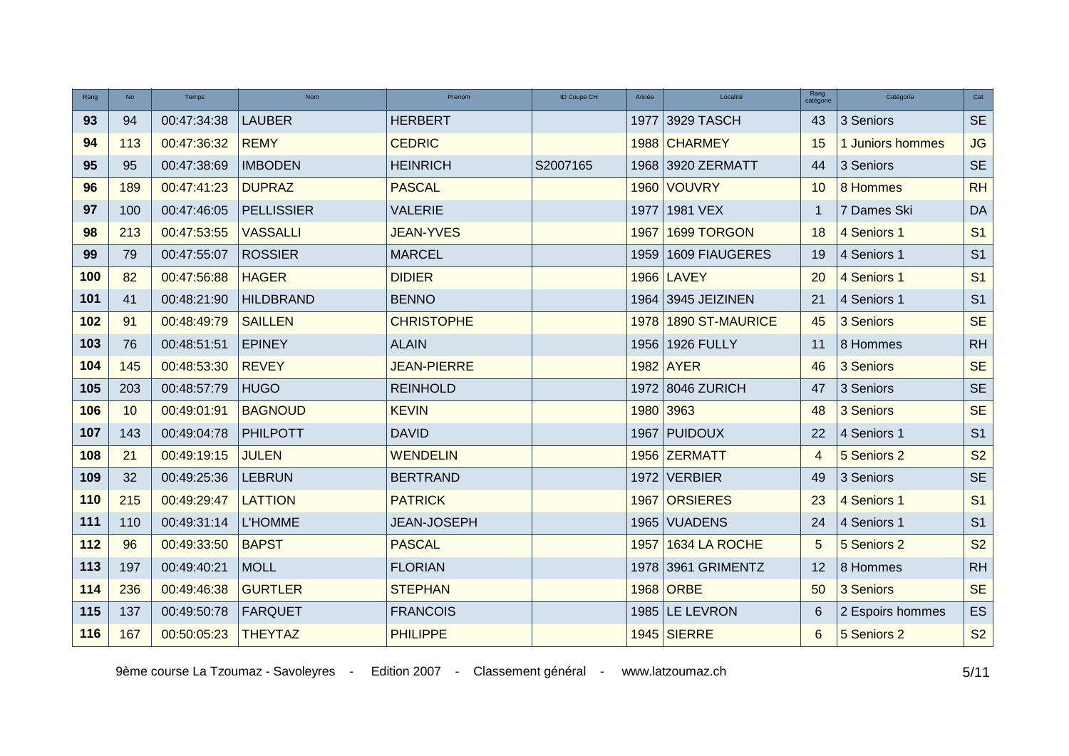| Rang | <b>No</b> | Temps       | Nom               | Prenom             | ID Coupe CH<br>Année | Localité               | Rang<br>catégorie | Catégorie        | Cat            |
|------|-----------|-------------|-------------------|--------------------|----------------------|------------------------|-------------------|------------------|----------------|
| 93   | 94        | 00:47:34:38 | <b>LAUBER</b>     | <b>HERBERT</b>     | 1977                 | 3929 TASCH             | 43                | 3 Seniors        | <b>SE</b>      |
| 94   | 113       | 00:47:36:32 | <b>REMY</b>       | <b>CEDRIC</b>      |                      | 1988 CHARMEY           | 15                | 1 Juniors hommes | JG             |
| 95   | 95        | 00:47:38:69 | <b>IMBODEN</b>    | <b>HEINRICH</b>    | S2007165             | 1968 3920 ZERMATT      | 44                | 3 Seniors        | <b>SE</b>      |
| 96   | 189       | 00:47:41:23 | <b>DUPRAZ</b>     | <b>PASCAL</b>      |                      | 1960 VOUVRY            | 10                | 8 Hommes         | <b>RH</b>      |
| 97   | 100       | 00:47:46:05 | <b>PELLISSIER</b> | <b>VALERIE</b>     | 1977                 | 1981 VEX               | -1                | 7 Dames Ski      | DA             |
| 98   | 213       | 00:47:53:55 | <b>VASSALLI</b>   | <b>JEAN-YVES</b>   | 1967                 | 1699 TORGON            | 18                | 4 Seniors 1      | S <sub>1</sub> |
| 99   | 79        | 00:47:55:07 | <b>ROSSIER</b>    | <b>MARCEL</b>      | 1959                 | 1609 FIAUGERES         | 19                | 4 Seniors 1      | S <sub>1</sub> |
| 100  | 82        | 00:47:56:88 | <b>HAGER</b>      | <b>DIDIER</b>      |                      | 1966 LAVEY             | 20                | 4 Seniors 1      | S <sub>1</sub> |
| 101  | 41        | 00:48:21:90 | <b>HILDBRAND</b>  | <b>BENNO</b>       |                      | 1964 3945 JEIZINEN     | 21                | 4 Seniors 1      | S <sub>1</sub> |
| 102  | 91        | 00:48:49:79 | <b>SAILLEN</b>    | <b>CHRISTOPHE</b>  | 1978                 | <b>1890 ST-MAURICE</b> | 45                | 3 Seniors        | <b>SE</b>      |
| 103  | 76        | 00:48:51:51 | <b>EPINEY</b>     | <b>ALAIN</b>       | 1956                 | 1926 FULLY             | 11                | 8 Hommes         | RH             |
| 104  | 145       | 00:48:53:30 | <b>REVEY</b>      | <b>JEAN-PIERRE</b> |                      | 1982 AYER              | 46                | 3 Seniors        | <b>SE</b>      |
| 105  | 203       | 00:48:57:79 | <b>HUGO</b>       | <b>REINHOLD</b>    |                      | 1972 8046 ZURICH       | 47                | 3 Seniors        | <b>SE</b>      |
| 106  | 10        | 00:49:01:91 | <b>BAGNOUD</b>    | <b>KEVIN</b>       |                      | 1980 3963              | 48                | 3 Seniors        | <b>SE</b>      |
| 107  | 143       | 00:49:04:78 | <b>PHILPOTT</b>   | <b>DAVID</b>       | 1967                 | <b>PUIDOUX</b>         | 22                | 4 Seniors 1      | S <sub>1</sub> |
| 108  | 21        | 00:49:19:15 | <b>JULEN</b>      | <b>WENDELIN</b>    |                      | 1956 ZERMATT           | 4                 | 5 Seniors 2      | S <sub>2</sub> |
| 109  | 32        | 00:49:25:36 | <b>LEBRUN</b>     | <b>BERTRAND</b>    | 1972                 | <b>VERBIER</b>         | 49                | 3 Seniors        | $\sf SE$       |
| 110  | 215       | 00:49:29:47 | <b>LATTION</b>    | <b>PATRICK</b>     | 1967                 | <b>ORSIERES</b>        | 23                | 4 Seniors 1      | S <sub>1</sub> |
| 111  | 110       | 00:49:31:14 | <b>L'HOMME</b>    | <b>JEAN-JOSEPH</b> |                      | 1965 VUADENS           | 24                | 4 Seniors 1      | S <sub>1</sub> |
| 112  | 96        | 00:49:33:50 | <b>BAPST</b>      | <b>PASCAL</b>      | 1957                 | 1634 LA ROCHE          | 5                 | 5 Seniors 2      | S <sub>2</sub> |
| 113  | 197       | 00:49:40:21 | <b>MOLL</b>       | <b>FLORIAN</b>     |                      | 1978 3961 GRIMENTZ     | 12                | 8 Hommes         | RH             |
| 114  | 236       | 00:49:46:38 | <b>GURTLER</b>    | <b>STEPHAN</b>     |                      | 1968 ORBE              | 50                | 3 Seniors        | <b>SE</b>      |
| 115  | 137       | 00:49:50:78 | <b>FARQUET</b>    | <b>FRANCOIS</b>    |                      | 1985 LE LEVRON         | $6\phantom{1}6$   | 2 Espoirs hommes | ES             |
| 116  | 167       | 00:50:05:23 | <b>THEYTAZ</b>    | <b>PHILIPPE</b>    |                      | 1945 SIERRE            | 6                 | 5 Seniors 2      | S <sub>2</sub> |

9ème course La Tzoumaz - Savoleyres - Edition 2007 - Classement général - www.latzoumaz.ch 5/11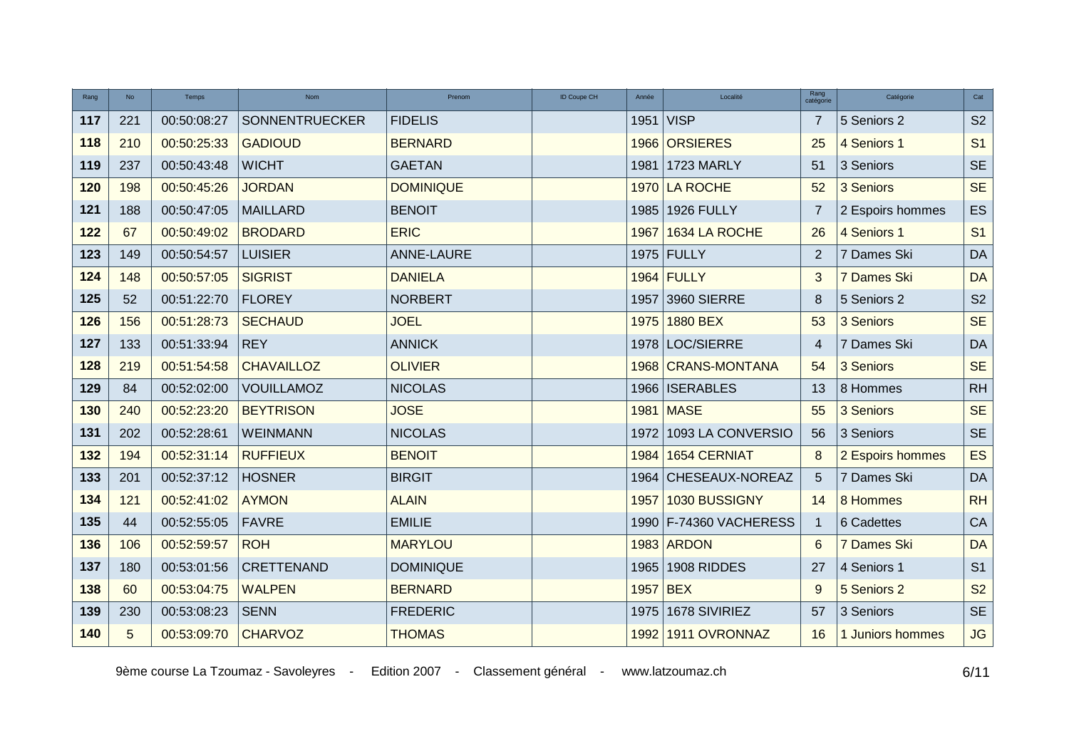| Rang | <b>No</b> | Temps       | <b>Nom</b>        | Prenom           | ID Coupe CH | Année    | Localité               | Rang<br>catégorie | Catégorie        | Cat            |
|------|-----------|-------------|-------------------|------------------|-------------|----------|------------------------|-------------------|------------------|----------------|
| 117  | 221       | 00:50:08:27 | SONNENTRUECKER    | <b>FIDELIS</b>   |             | 1951     | <b>VISP</b>            | 7                 | 5 Seniors 2      | S <sub>2</sub> |
| 118  | 210       | 00:50:25:33 | <b>GADIOUD</b>    | <b>BERNARD</b>   |             |          | 1966 ORSIERES          | 25                | 4 Seniors 1      | S <sub>1</sub> |
| 119  | 237       | 00:50:43:48 | <b>WICHT</b>      | <b>GAETAN</b>    |             | 1981     | 1723 MARLY             | 51                | 3 Seniors        | <b>SE</b>      |
| 120  | 198       | 00:50:45:26 | <b>JORDAN</b>     | <b>DOMINIQUE</b> |             |          | 1970 LA ROCHE          | 52                | 3 Seniors        | <b>SE</b>      |
| 121  | 188       | 00:50:47:05 | <b>MAILLARD</b>   | <b>BENOIT</b>    |             | 1985     | 1926 FULLY             | 7                 | 2 Espoirs hommes | ES             |
| 122  | 67        | 00:50:49:02 | <b>BRODARD</b>    | <b>ERIC</b>      |             | 1967     | 1634 LA ROCHE          | 26                | 4 Seniors 1      | S <sub>1</sub> |
| 123  | 149       | 00:50:54:57 | <b>LUISIER</b>    | ANNE-LAURE       |             |          | 1975 FULLY             | 2                 | 7 Dames Ski      | DA             |
| 124  | 148       | 00:50:57:05 | <b>SIGRIST</b>    | <b>DANIELA</b>   |             |          | 1964 FULLY             | 3                 | 7 Dames Ski      | DA             |
| 125  | 52        | 00:51:22:70 | <b>FLOREY</b>     | <b>NORBERT</b>   |             | 1957     | 3960 SIERRE            | 8                 | 5 Seniors 2      | S <sub>2</sub> |
| 126  | 156       | 00:51:28:73 | <b>SECHAUD</b>    | <b>JOEL</b>      |             | 1975     | 1880 BEX               | 53                | 3 Seniors        | <b>SE</b>      |
| 127  | 133       | 00:51:33:94 | <b>REY</b>        | <b>ANNICK</b>    |             |          | 1978 LOC/SIERRE        | $\overline{4}$    | 7 Dames Ski      | <b>DA</b>      |
| 128  | 219       | 00:51:54:58 | <b>CHAVAILLOZ</b> | <b>OLIVIER</b>   |             |          | 1968 CRANS-MONTANA     | 54                | 3 Seniors        | <b>SE</b>      |
| 129  | 84        | 00:52:02:00 | <b>VOUILLAMOZ</b> | <b>NICOLAS</b>   |             |          | 1966   ISERABLES       | 13                | 8 Hommes         | RH             |
| 130  | 240       | 00:52:23:20 | <b>BEYTRISON</b>  | <b>JOSE</b>      |             |          | 1981 MASE              | 55                | 3 Seniors        | <b>SE</b>      |
| 131  | 202       | 00:52:28:61 | <b>WEINMANN</b>   | <b>NICOLAS</b>   |             | 1972     | 1093 LA CONVERSIO      | 56                | 3 Seniors        | <b>SE</b>      |
| 132  | 194       | 00:52:31:14 | <b>RUFFIEUX</b>   | <b>BENOIT</b>    |             | 1984     | 1654 CERNIAT           | 8                 | 2 Espoirs hommes | <b>ES</b>      |
| 133  | 201       | 00:52:37:12 | <b>HOSNER</b>     | <b>BIRGIT</b>    |             | 1964     | CHESEAUX-NOREAZ        | 5                 | 7 Dames Ski      | <b>DA</b>      |
| 134  | 121       | 00:52:41:02 | <b>AYMON</b>      | <b>ALAIN</b>     |             | 1957     | 1030 BUSSIGNY          | 14                | 8 Hommes         | RH             |
| 135  | 44        | 00:52:55:05 | <b>FAVRE</b>      | <b>EMILIE</b>    |             |          | 1990 F-74360 VACHERESS | $\mathbf{1}$      | 6 Cadettes       | ${\sf CA}$     |
| 136  | 106       | 00:52:59:57 | <b>ROH</b>        | <b>MARYLOU</b>   |             |          | 1983 ARDON             | 6                 | 7 Dames Ski      | <b>DA</b>      |
| 137  | 180       | 00:53:01:56 | <b>CRETTENAND</b> | <b>DOMINIQUE</b> |             | 1965     | 1908 RIDDES            | 27                | 4 Seniors 1      | S <sub>1</sub> |
| 138  | 60        | 00:53:04:75 | <b>WALPEN</b>     | <b>BERNARD</b>   |             | 1957 BEX |                        | 9                 | 5 Seniors 2      | S <sub>2</sub> |
| 139  | 230       | 00:53:08:23 | <b>SENN</b>       | <b>FREDERIC</b>  |             | 1975     | 1678 SIVIRIEZ          | 57                | 3 Seniors        | <b>SE</b>      |
| 140  | 5         | 00:53:09:70 | <b>CHARVOZ</b>    | <b>THOMAS</b>    |             |          | 1992 1911 OVRONNAZ     | 16                | 1 Juniors hommes | JG             |

9ème course La Tzoumaz - Savoleyres - Edition 2007 - Classement général - www.latzoumaz.ch 6/11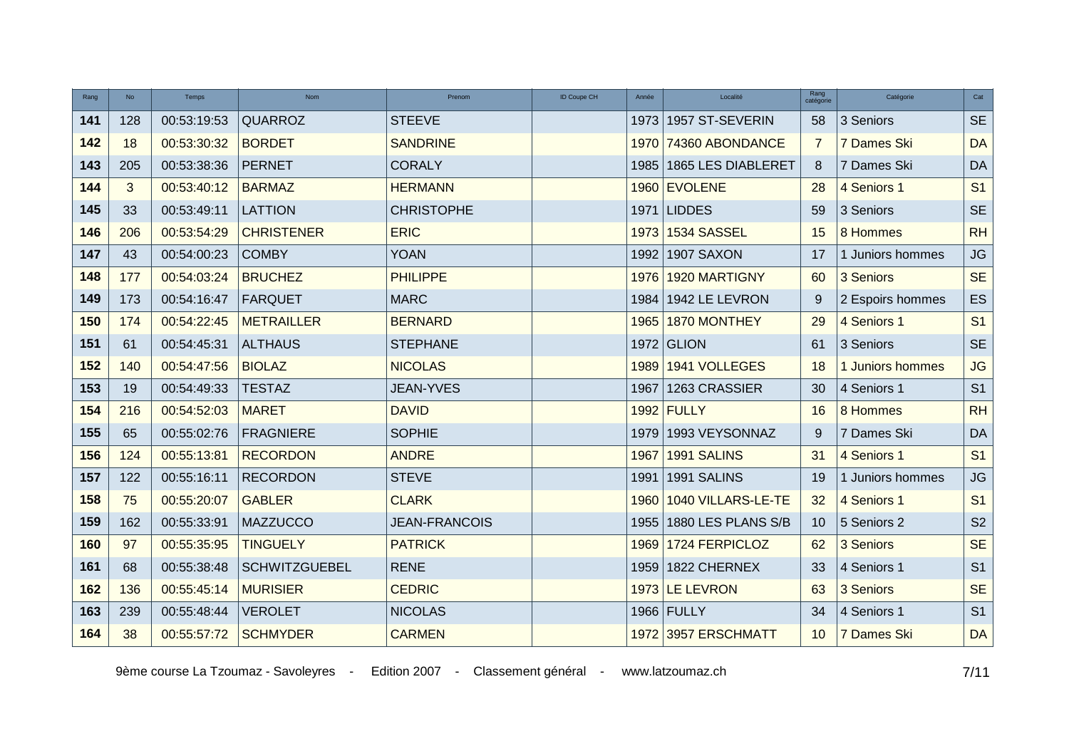| Rang | <b>No</b> | Temps       | <b>Nom</b>           | Prenom               | <b>ID Coupe CH</b> | Année | Localité             | Rang<br>catégorie | Catégorie        | Cat                    |
|------|-----------|-------------|----------------------|----------------------|--------------------|-------|----------------------|-------------------|------------------|------------------------|
| 141  | 128       | 00:53:19:53 | QUARROZ              | <b>STEEVE</b>        |                    | 1973  | 1957 ST-SEVERIN      | 58                | 3 Seniors        | <b>SE</b>              |
| 142  | 18        | 00:53:30:32 | <b>BORDET</b>        | <b>SANDRINE</b>      |                    |       | 1970 74360 ABONDANCE | 7                 | 7 Dames Ski      | <b>DA</b>              |
| 143  | 205       | 00:53:38:36 | <b>PERNET</b>        | <b>CORALY</b>        |                    | 1985  | 1865 LES DIABLERET   | 8                 | 7 Dames Ski      | DA                     |
| 144  | 3         | 00:53:40:12 | <b>BARMAZ</b>        | <b>HERMANN</b>       |                    |       | 1960 EVOLENE         | 28                | 4 Seniors 1      | S <sub>1</sub>         |
| 145  | 33        | 00:53:49:11 | <b>LATTION</b>       | <b>CHRISTOPHE</b>    |                    |       | 1971 LIDDES          | 59                | 3 Seniors        | <b>SE</b>              |
| 146  | 206       | 00:53:54:29 | <b>CHRISTENER</b>    | <b>ERIC</b>          |                    | 1973  | 1534 SASSEL          | 15                | 8 Hommes         | RH                     |
| 147  | 43        | 00:54:00:23 | <b>COMBY</b>         | <b>YOAN</b>          |                    | 1992  | 1907 SAXON           | 17                | 1 Juniors hommes | $\mathsf{J}\mathsf{G}$ |
| 148  | 177       | 00:54:03:24 | <b>BRUCHEZ</b>       | <b>PHILIPPE</b>      |                    | 1976  | 1920 MARTIGNY        | 60                | 3 Seniors        | <b>SE</b>              |
| 149  | 173       | 00:54:16:47 | <b>FARQUET</b>       | <b>MARC</b>          |                    | 1984  | 1942 LE LEVRON       | 9                 | 2 Espoirs hommes | ES                     |
| 150  | 174       | 00:54:22:45 | <b>METRAILLER</b>    | <b>BERNARD</b>       |                    | 1965  | 1870 MONTHEY         | 29                | 4 Seniors 1      | S <sub>1</sub>         |
| 151  | 61        | 00:54:45:31 | <b>ALTHAUS</b>       | <b>STEPHANE</b>      |                    | 1972  | GLION                | 61                | 3 Seniors        | <b>SE</b>              |
| 152  | 140       | 00:54:47:56 | <b>BIOLAZ</b>        | <b>NICOLAS</b>       |                    | 1989  | 1941 VOLLEGES        | 18                | 1 Juniors hommes | <b>JG</b>              |
| 153  | 19        | 00:54:49:33 | <b>TESTAZ</b>        | JEAN-YVES            |                    | 1967  | 1263 CRASSIER        | 30                | 4 Seniors 1      | S <sub>1</sub>         |
| 154  | 216       | 00:54:52:03 | <b>MARET</b>         | <b>DAVID</b>         |                    |       | 1992 FULLY           | 16                | 8 Hommes         | RH                     |
| 155  | 65        | 00:55:02:76 | <b>FRAGNIERE</b>     | <b>SOPHIE</b>        |                    | 1979  | 1993 VEYSONNAZ       | 9                 | 7 Dames Ski      | <b>DA</b>              |
| 156  | 124       | 00:55:13:81 | <b>RECORDON</b>      | <b>ANDRE</b>         |                    | 1967  | 1991 SALINS          | 31                | 4 Seniors 1      | S <sub>1</sub>         |
| 157  | 122       | 00:55:16:11 | <b>RECORDON</b>      | <b>STEVE</b>         |                    | 1991  | 1991 SALINS          | 19                | 1 Juniors hommes | $\mathsf{J}\mathsf{G}$ |
| 158  | 75        | 00:55:20:07 | <b>GABLER</b>        | <b>CLARK</b>         |                    | 1960  | 1040 VILLARS-LE-TE   | 32                | 4 Seniors 1      | S <sub>1</sub>         |
| 159  | 162       | 00:55:33:91 | <b>MAZZUCCO</b>      | <b>JEAN-FRANCOIS</b> |                    | 1955  | 1880 LES PLANS S/B   | 10 <sup>1</sup>   | 5 Seniors 2      | S <sub>2</sub>         |
| 160  | 97        | 00:55:35:95 | <b>TINGUELY</b>      | <b>PATRICK</b>       |                    | 1969  | 1724 FERPICLOZ       | 62                | 3 Seniors        | <b>SE</b>              |
| 161  | 68        | 00:55:38:48 | <b>SCHWITZGUEBEL</b> | <b>RENE</b>          |                    | 1959  | 1822 CHERNEX         | 33                | 4 Seniors 1      | S <sub>1</sub>         |
| 162  | 136       | 00:55:45:14 | <b>MURISIER</b>      | <b>CEDRIC</b>        |                    |       | 1973 LE LEVRON       | 63                | 3 Seniors        | <b>SE</b>              |
| 163  | 239       | 00:55:48:44 | <b>VEROLET</b>       | <b>NICOLAS</b>       |                    |       | 1966 FULLY           | 34                | 4 Seniors 1      | S <sub>1</sub>         |
| 164  | 38        | 00:55:57:72 | <b>SCHMYDER</b>      | <b>CARMEN</b>        |                    |       | 1972 3957 ERSCHMATT  | 10                | 7 Dames Ski      | <b>DA</b>              |

9ème course La Tzoumaz - Savoleyres - Edition 2007 - Classement général - www.latzoumaz.ch 7/11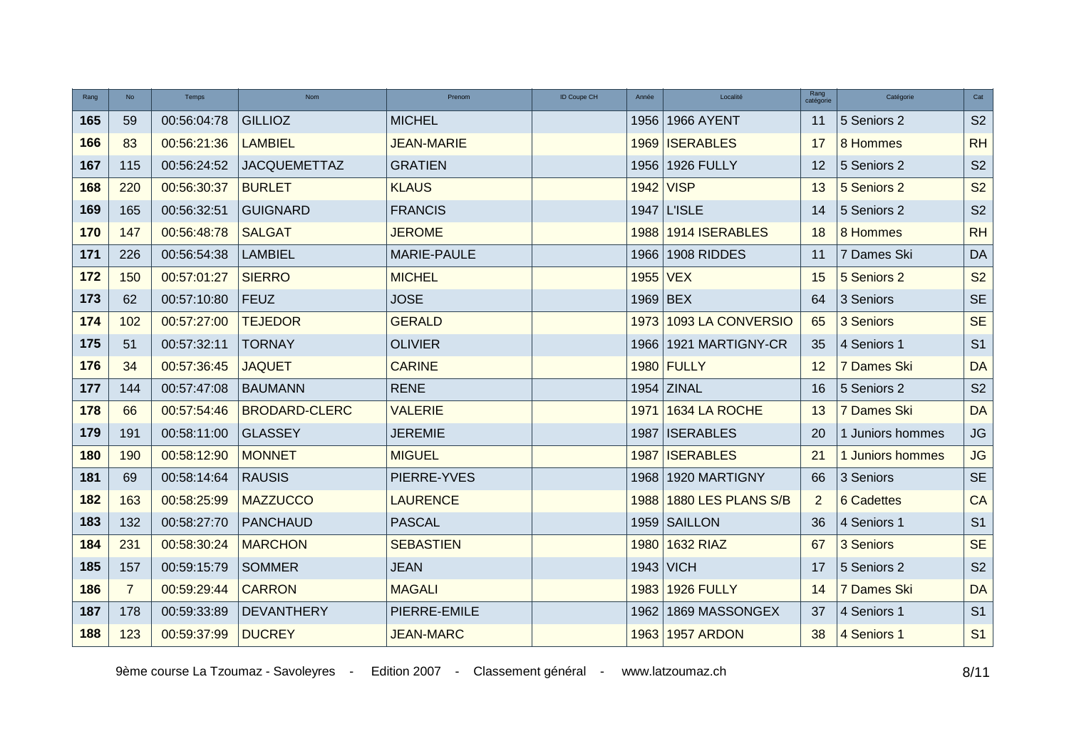| Rang | <b>No</b>      | Temps       | Nom                  | Prenom            | <b>ID Coupe CH</b> | Année      | Localité           | Rang<br>catégorie | Catégorie         | Cat            |
|------|----------------|-------------|----------------------|-------------------|--------------------|------------|--------------------|-------------------|-------------------|----------------|
| 165  | 59             | 00:56:04:78 | <b>GILLIOZ</b>       | <b>MICHEL</b>     |                    |            | 1956 1966 AYENT    | 11                | 5 Seniors 2       | S <sub>2</sub> |
| 166  | 83             | 00:56:21:36 | <b>LAMBIEL</b>       | <b>JEAN-MARIE</b> |                    |            | 1969 ISERABLES     | 17                | 8 Hommes          | RH             |
| 167  | 115            | 00:56:24:52 | <b>JACQUEMETTAZ</b>  | <b>GRATIEN</b>    |                    | 1956       | 1926 FULLY         | 12                | 5 Seniors 2       | S <sub>2</sub> |
| 168  | 220            | 00:56:30:37 | <b>BURLET</b>        | <b>KLAUS</b>      |                    | 1942 VISP  |                    | 13                | 5 Seniors 2       | S <sub>2</sub> |
| 169  | 165            | 00:56:32:51 | <b>GUIGNARD</b>      | <b>FRANCIS</b>    |                    |            | 1947 L'ISLE        | 14                | 5 Seniors 2       | S <sub>2</sub> |
| 170  | 147            | 00:56:48:78 | <b>SALGAT</b>        | <b>JEROME</b>     |                    | 1988       | 1914 ISERABLES     | 18                | 8 Hommes          | RH             |
| 171  | 226            | 00:56:54:38 | <b>LAMBIEL</b>       | MARIE-PAULE       |                    | 1966       | 1908 RIDDES        | 11                | 7 Dames Ski       | <b>DA</b>      |
| 172  | 150            | 00:57:01:27 | <b>SIERRO</b>        | <b>MICHEL</b>     |                    | 1955 VEX   |                    | 15                | 5 Seniors 2       | <b>S2</b>      |
| 173  | 62             | 00:57:10:80 | <b>FEUZ</b>          | <b>JOSE</b>       |                    | $1969$ BEX |                    | 64                | 3 Seniors         | <b>SE</b>      |
| 174  | 102            | 00:57:27:00 | <b>TEJEDOR</b>       | <b>GERALD</b>     |                    | 1973       | 1093 LA CONVERSIO  | 65                | 3 Seniors         | <b>SE</b>      |
| 175  | 51             | 00:57:32:11 | <b>TORNAY</b>        | <b>OLIVIER</b>    |                    | 1966       | 1921 MARTIGNY-CR   | 35                | 4 Seniors 1       | S <sub>1</sub> |
| 176  | 34             | 00:57:36:45 | <b>JAQUET</b>        | <b>CARINE</b>     |                    |            | 1980 FULLY         | $12 \overline{ }$ | 7 Dames Ski       | <b>DA</b>      |
| 177  | 144            | 00:57:47:08 | <b>BAUMANN</b>       | <b>RENE</b>       |                    |            | $1954$ ZINAL       | 16                | 5 Seniors 2       | S <sub>2</sub> |
| 178  | 66             | 00:57:54:46 | <b>BRODARD-CLERC</b> | <b>VALERIE</b>    |                    | 1971       | 1634 LA ROCHE      | 13                | 7 Dames Ski       | <b>DA</b>      |
| 179  | 191            | 00:58:11:00 | <b>GLASSEY</b>       | <b>JEREMIE</b>    |                    | 1987       | <b>ISERABLES</b>   | 20                | 1 Juniors hommes  | JG             |
| 180  | 190            | 00:58:12:90 | <b>MONNET</b>        | <b>MIGUEL</b>     |                    | 1987       | <b>ISERABLES</b>   | 21                | 1 Juniors hommes  | <b>JG</b>      |
| 181  | 69             | 00:58:14:64 | <b>RAUSIS</b>        | PIERRE-YVES       |                    | 1968       | 1920 MARTIGNY      | 66                | 3 Seniors         | <b>SE</b>      |
| 182  | 163            | 00:58:25:99 | <b>MAZZUCCO</b>      | <b>LAURENCE</b>   |                    | 1988       | 1880 LES PLANS S/B | 2                 | <b>6 Cadettes</b> | CA             |
| 183  | 132            | 00:58:27:70 | <b>PANCHAUD</b>      | <b>PASCAL</b>     |                    |            | 1959 SAILLON       | 36                | 4 Seniors 1       | S <sub>1</sub> |
| 184  | 231            | 00:58:30:24 | <b>MARCHON</b>       | <b>SEBASTIEN</b>  |                    | 1980       | <b>1632 RIAZ</b>   | 67                | 3 Seniors         | <b>SE</b>      |
| 185  | 157            | 00:59:15:79 | <b>SOMMER</b>        | <b>JEAN</b>       |                    | 1943       | <b>VICH</b>        | 17                | 5 Seniors 2       | S <sub>2</sub> |
| 186  | $\overline{7}$ | 00:59:29:44 | <b>CARRON</b>        | <b>MAGALI</b>     |                    | 1983       | 1926 FULLY         | 14                | 7 Dames Ski       | <b>DA</b>      |
| 187  | 178            | 00:59:33:89 | <b>DEVANTHERY</b>    | PIERRE-EMILE      |                    | 1962       | 1869 MASSONGEX     | 37                | 4 Seniors 1       | S <sub>1</sub> |
| 188  | 123            | 00:59:37:99 | <b>DUCREY</b>        | <b>JEAN-MARC</b>  |                    |            | 1963 1957 ARDON    | 38                | 4 Seniors 1       | S <sub>1</sub> |

9ème course La Tzoumaz - Savoleyres - Edition 2007 - Classement général - www.latzoumaz.ch 6/11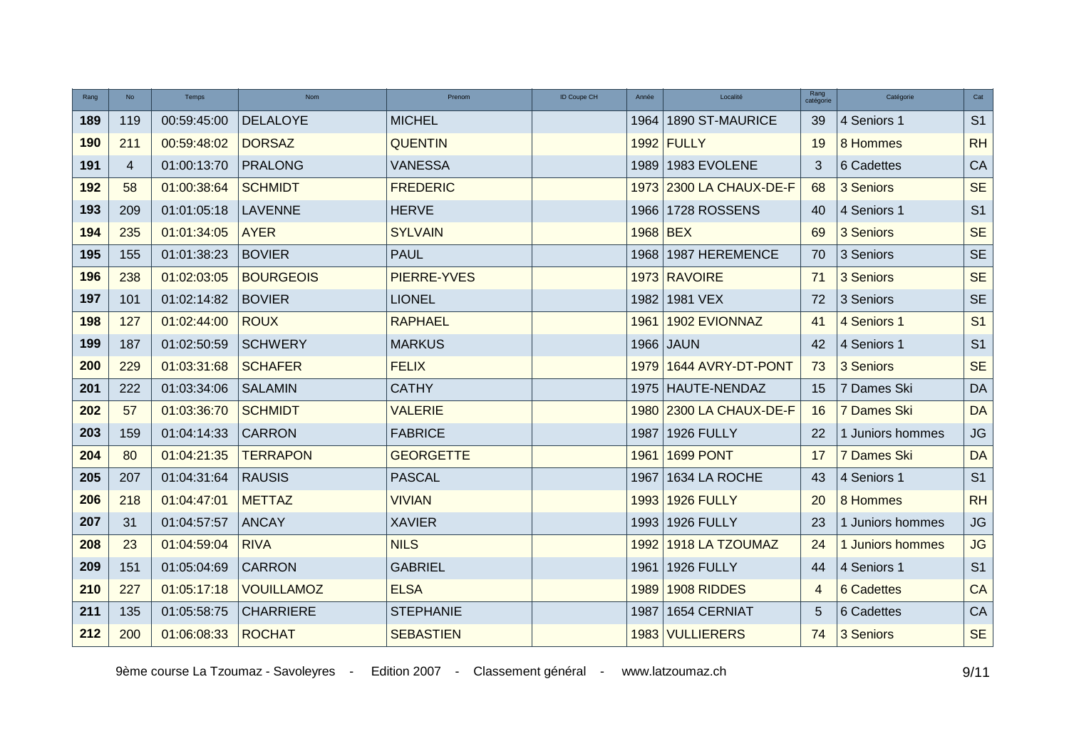| Rang | <b>No</b>      | Temps       | <b>Nom</b>        | Prenom           | <b>ID Coupe CH</b> | Année    | Localité                | Rang<br>catégorie | Catégorie        | Cat            |
|------|----------------|-------------|-------------------|------------------|--------------------|----------|-------------------------|-------------------|------------------|----------------|
| 189  | 119            | 00:59:45:00 | <b>DELALOYE</b>   | <b>MICHEL</b>    |                    | 1964     | 1890 ST-MAURICE         | 39                | 4 Seniors 1      | S <sub>1</sub> |
| 190  | 211            | 00:59:48:02 | <b>DORSAZ</b>     | <b>QUENTIN</b>   |                    |          | 1992 FULLY              | 19                | 8 Hommes         | RH             |
| 191  | $\overline{4}$ | 01:00:13:70 | <b>PRALONG</b>    | <b>VANESSA</b>   |                    | 1989     | 1983 EVOLENE            | 3                 | 6 Cadettes       | CA             |
| 192  | 58             | 01:00:38:64 | <b>SCHMIDT</b>    | <b>FREDERIC</b>  |                    |          | 1973 2300 LA CHAUX-DE-F | 68                | 3 Seniors        | <b>SE</b>      |
| 193  | 209            | 01:01:05:18 | <b>LAVENNE</b>    | <b>HERVE</b>     |                    |          | 1966 1728 ROSSENS       | 40                | 4 Seniors 1      | S <sub>1</sub> |
| 194  | 235            | 01:01:34:05 | <b>AYER</b>       | <b>SYLVAIN</b>   |                    | 1968 BEX |                         | 69                | 3 Seniors        | <b>SE</b>      |
| 195  | 155            | 01:01:38:23 | <b>BOVIER</b>     | <b>PAUL</b>      |                    |          | 1968 1987 HEREMENCE     | 70                | 3 Seniors        | <b>SE</b>      |
| 196  | 238            | 01:02:03:05 | <b>BOURGEOIS</b>  | PIERRE-YVES      |                    |          | 1973 RAVOIRE            | 71                | 3 Seniors        | <b>SE</b>      |
| 197  | 101            | 01:02:14:82 | <b>BOVIER</b>     | <b>LIONEL</b>    |                    | 1982     | 1981 VEX                | 72                | 3 Seniors        | <b>SE</b>      |
| 198  | 127            | 01:02:44:00 | <b>ROUX</b>       | <b>RAPHAEL</b>   |                    | 1961     | 1902 EVIONNAZ           | 41                | 4 Seniors 1      | S <sub>1</sub> |
| 199  | 187            | 01:02:50:59 | <b>SCHWERY</b>    | <b>MARKUS</b>    |                    |          | 1966 JAUN               | 42                | 4 Seniors 1      | S <sub>1</sub> |
| 200  | 229            | 01:03:31:68 | <b>SCHAFER</b>    | <b>FELIX</b>     |                    | 1979     | 1644 AVRY-DT-PONT       | 73                | 3 Seniors        | <b>SE</b>      |
| 201  | 222            | 01:03:34:06 | <b>SALAMIN</b>    | <b>CATHY</b>     |                    |          | 1975   HAUTE-NENDAZ     | 15                | 7 Dames Ski      | DA             |
| 202  | 57             | 01:03:36:70 | <b>SCHMIDT</b>    | <b>VALERIE</b>   |                    |          | 1980 2300 LA CHAUX-DE-F | 16                | 7 Dames Ski      | <b>DA</b>      |
| 203  | 159            | 01:04:14:33 | <b>CARRON</b>     | <b>FABRICE</b>   |                    | 1987     | <b>1926 FULLY</b>       | 22                | 1 Juniors hommes | <b>JG</b>      |
| 204  | 80             | 01:04:21:35 | <b>TERRAPON</b>   | <b>GEORGETTE</b> |                    | 1961     | <b>1699 PONT</b>        | 17                | 7 Dames Ski      | <b>DA</b>      |
| 205  | 207            | 01:04:31:64 | <b>RAUSIS</b>     | <b>PASCAL</b>    |                    | 1967     | 1634 LA ROCHE           | 43                | 4 Seniors 1      | S <sub>1</sub> |
| 206  | 218            | 01:04:47:01 | <b>METTAZ</b>     | <b>VIVIAN</b>    |                    | 1993     | 1926 FULLY              | 20                | 8 Hommes         | RH             |
| 207  | 31             | 01:04:57:57 | <b>ANCAY</b>      | <b>XAVIER</b>    |                    | 1993     | 1926 FULLY              | 23                | 1 Juniors hommes | JG             |
| 208  | 23             | 01:04:59:04 | <b>RIVA</b>       | <b>NILS</b>      |                    | 1992     | 1918 LA TZOUMAZ         | 24                | 1 Juniors hommes | <b>JG</b>      |
| 209  | 151            | 01:05:04:69 | <b>CARRON</b>     | <b>GABRIEL</b>   |                    | 1961     | 1926 FULLY              | 44                | 4 Seniors 1      | S <sub>1</sub> |
| 210  | 227            | 01:05:17:18 | <b>VOUILLAMOZ</b> | <b>ELSA</b>      |                    | 1989     | 1908 RIDDES             | 4                 | 6 Cadettes       | <b>CA</b>      |
| 211  | 135            | 01:05:58:75 | <b>CHARRIERE</b>  | <b>STEPHANIE</b> |                    | 1987     | 1654 CERNIAT            | 5                 | 6 Cadettes       | ${\sf CA}$     |
| 212  | 200            | 01:06:08:33 | <b>ROCHAT</b>     | <b>SEBASTIEN</b> |                    |          | 1983 VULLIERERS         |                   | 74 3 Seniors     | <b>SE</b>      |

9ème course La Tzoumaz - Savoleyres - Edition 2007 - Classement général - www.latzoumaz.ch <br>9/11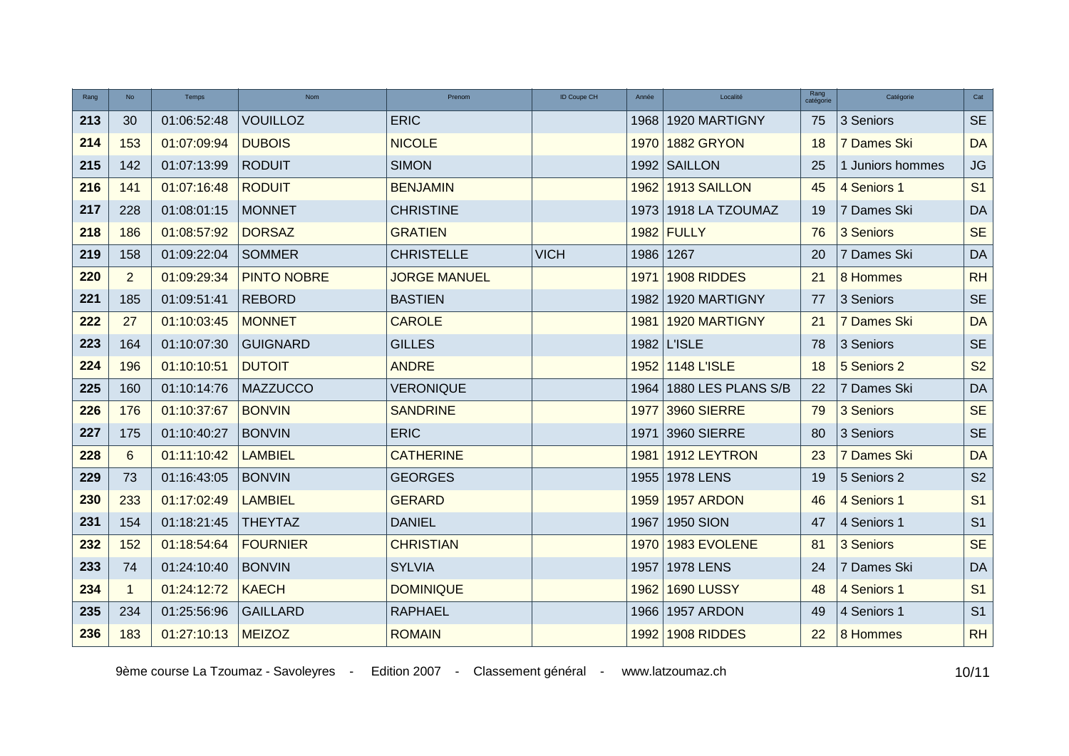| Rang | <b>No</b>      | Temps       | <b>Nom</b>         | Prenom              | ID Coupe CH<br>Année | Localité           | Rang<br>catégorie | Catégorie        | Cat            |
|------|----------------|-------------|--------------------|---------------------|----------------------|--------------------|-------------------|------------------|----------------|
| 213  | 30             | 01:06:52:48 | <b>VOUILLOZ</b>    | <b>ERIC</b>         | 1968                 | 1920 MARTIGNY      | 75                | 3 Seniors        | <b>SE</b>      |
| 214  | 153            | 01:07:09:94 | <b>DUBOIS</b>      | <b>NICOLE</b>       | 1970                 | 1882 GRYON         | 18                | 7 Dames Ski      | <b>DA</b>      |
| 215  | 142            | 01:07:13:99 | <b>RODUIT</b>      | <b>SIMON</b>        |                      | 1992 SAILLON       | 25                | 1 Juniors hommes | JG             |
| 216  | 141            | 01:07:16:48 | <b>RODUIT</b>      | <b>BENJAMIN</b>     | 1962                 | 1913 SAILLON       | 45                | 4 Seniors 1      | S <sub>1</sub> |
| 217  | 228            | 01:08:01:15 | <b>MONNET</b>      | <b>CHRISTINE</b>    | 1973                 | 1918 LA TZOUMAZ    | 19                | 7 Dames Ski      | DA             |
| 218  | 186            | 01:08:57:92 | <b>DORSAZ</b>      | <b>GRATIEN</b>      |                      | 1982 FULLY         | 76                | 3 Seniors        | <b>SE</b>      |
| 219  | 158            | 01:09:22:04 | <b>SOMMER</b>      | <b>CHRISTELLE</b>   | <b>VICH</b><br>1986  | 1267               | 20                | 7 Dames Ski      | <b>DA</b>      |
| 220  | $\overline{2}$ | 01:09:29:34 | <b>PINTO NOBRE</b> | <b>JORGE MANUEL</b> | 1971                 | 1908 RIDDES        | 21                | 8 Hommes         | <b>RH</b>      |
| 221  | 185            | 01:09:51:41 | <b>REBORD</b>      | <b>BASTIEN</b>      | 1982                 | 1920 MARTIGNY      | 77                | 3 Seniors        | <b>SE</b>      |
| 222  | 27             | 01:10:03:45 | <b>MONNET</b>      | <b>CAROLE</b>       | 1981                 | 1920 MARTIGNY      | 21                | 7 Dames Ski      | <b>DA</b>      |
| 223  | 164            | 01:10:07:30 | <b>GUIGNARD</b>    | <b>GILLES</b>       |                      | 1982   L'ISLE      | 78                | 3 Seniors        | <b>SE</b>      |
| 224  | 196            | 01:10:10:51 | <b>DUTOIT</b>      | <b>ANDRE</b>        | 1952                 | <b>1148 L'ISLE</b> | 18                | 5 Seniors 2      | S <sub>2</sub> |
| 225  | 160            | 01:10:14:76 | <b>MAZZUCCO</b>    | <b>VERONIQUE</b>    | 1964                 | 1880 LES PLANS S/B | 22                | 7 Dames Ski      | DA             |
| 226  | 176            | 01:10:37:67 | <b>BONVIN</b>      | <b>SANDRINE</b>     | 1977                 | 3960 SIERRE        | 79                | 3 Seniors        | <b>SE</b>      |
| 227  | 175            | 01:10:40:27 | <b>BONVIN</b>      | <b>ERIC</b>         | 1971                 | 3960 SIERRE        | 80                | 3 Seniors        | <b>SE</b>      |
| 228  | 6              | 01:11:10:42 | <b>LAMBIEL</b>     | <b>CATHERINE</b>    | 1981                 | 1912 LEYTRON       | 23                | 7 Dames Ski      | <b>DA</b>      |
| 229  | 73             | 01:16:43:05 | <b>BONVIN</b>      | <b>GEORGES</b>      | 1955                 | <b>1978 LENS</b>   | 19                | 5 Seniors 2      | S <sub>2</sub> |
| 230  | 233            | 01:17:02:49 | <b>LAMBIEL</b>     | <b>GERARD</b>       | 1959                 | 1957 ARDON         | 46                | 4 Seniors 1      | S <sub>1</sub> |
| 231  | 154            | 01:18:21:45 | <b>THEYTAZ</b>     | <b>DANIEL</b>       | 1967                 | <b>1950 SION</b>   | 47                | 4 Seniors 1      | S <sub>1</sub> |
| 232  | 152            | 01:18:54:64 | <b>FOURNIER</b>    | <b>CHRISTIAN</b>    | 1970                 | 1983 EVOLENE       | 81                | 3 Seniors        | <b>SE</b>      |
| 233  | 74             | 01:24:10:40 | <b>BONVIN</b>      | <b>SYLVIA</b>       | 1957                 | <b>1978 LENS</b>   | 24                | 7 Dames Ski      | <b>DA</b>      |
| 234  | $\mathbf{1}$   | 01:24:12:72 | <b>KAECH</b>       | <b>DOMINIQUE</b>    | 1962                 | <b>1690 LUSSY</b>  | 48                | 4 Seniors 1      | S <sub>1</sub> |
| 235  | 234            | 01:25:56:96 | <b>GAILLARD</b>    | <b>RAPHAEL</b>      | 1966                 | 1957 ARDON         | 49                | 4 Seniors 1      | S <sub>1</sub> |
| 236  | 183            | 01:27:10:13 | <b>MEIZOZ</b>      | <b>ROMAIN</b>       |                      | 1992 1908 RIDDES   | 22                | 8 Hommes         | <b>RH</b>      |

9ème course La Tzoumaz - Savoleyres - Edition 2007 - Classement général - www.latzoumaz.ch <br>10/11